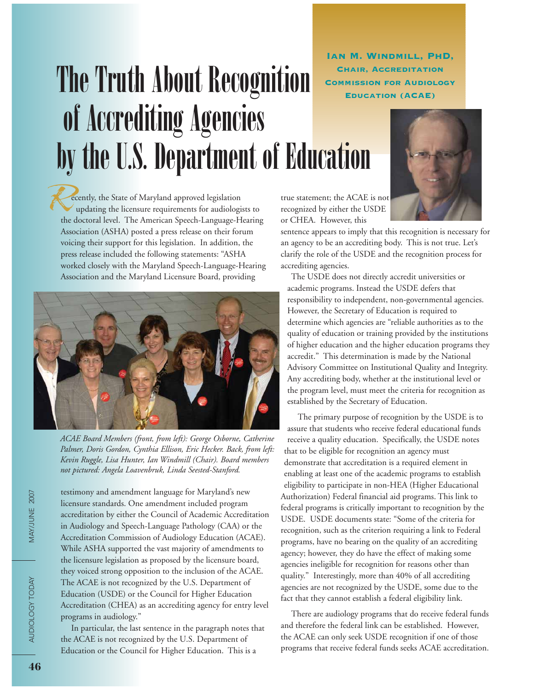Ian M. Windmill, PhD, Chair, Accreditation

## The Truth About Recognition CHAIR, ACCREDITATION of Accrediting Agencies by the U.S. Department of Education



ecently, the State of Maryland approved legislation updating the licensure requirements for audiologists to the doctoral level. The American Speech-Language-Hearing Association (ASHA) posted a press release on their forum voicing their support for this legislation. In addition, the press release included the following statements: "ASHA worked closely with the Maryland Speech-Language-Hearing Association and the Maryland Licensure Board, providing



*ACAE Board Members (front, from left): George Osborne, Catherine Palmer, Doris Gordon, Cynthia Ellison, Eric Hecker. Back, from left: Kevin Ruggle, Lisa Hunter, Ian Windmill (Chair). Board members not pictured: Angela Loavenbruk, Linda Seested-Stanford.*

testimony and amendment language for Maryland's new licensure standards. One amendment included program accreditation by either the Council of Academic Accreditation in Audiology and Speech-Language Pathology (CAA) or the Accreditation Commission of Audiology Education (ACAE). While ASHA supported the vast majority of amendments to the licensure legislation as proposed by the licensure board, they voiced strong opposition to the inclusion of the ACAE. The ACAE is not recognized by the U.S. Department of Education (USDE) or the Council for Higher Education Accreditation (CHEA) as an accrediting agency for entry level programs in audiology."

In particular, the last sentence in the paragraph notes that the ACAE is not recognized by the U.S. Department of Education or the Council for Higher Education. This is a

true statement; the ACAE is not recognized by either the USDE or CHEA. However, this

sentence appears to imply that this recognition is necessary for an agency to be an accrediting body. This is not true. Let's clarify the role of the USDE and the recognition process for accrediting agencies.

The USDE does not directly accredit universities or academic programs. Instead the USDE defers that responsibility to independent, non-governmental agencies. However, the Secretary of Education is required to determine which agencies are "reliable authorities as to the quality of education or training provided by the institutions of higher education and the higher education programs they accredit." This determination is made by the National Advisory Committee on Institutional Quality and Integrity. Any accrediting body, whether at the institutional level or the program level, must meet the criteria for recognition as established by the Secretary of Education.

The primary purpose of recognition by the USDE is to assure that students who receive federal educational funds receive a quality education. Specifically, the USDE notes that to be eligible for recognition an agency must demonstrate that accreditation is a required element in enabling at least one of the academic programs to establish eligibility to participate in non-HEA (Higher Educational Authorization) Federal financial aid programs. This link to federal programs is critically important to recognition by the USDE. USDE documents state: "Some of the criteria for recognition, such as the criterion requiring a link to Federal programs, have no bearing on the quality of an accrediting agency; however, they do have the effect of making some agencies ineligible for recognition for reasons other than quality." Interestingly, more than 40% of all accrediting agencies are not recognized by the USDE, some due to the fact that they cannot establish a federal eligibility link.

There are audiology programs that do receive federal funds and therefore the federal link can be established. However, the ACAE can only seek USDE recognition if one of those programs that receive federal funds seeks ACAE accreditation.